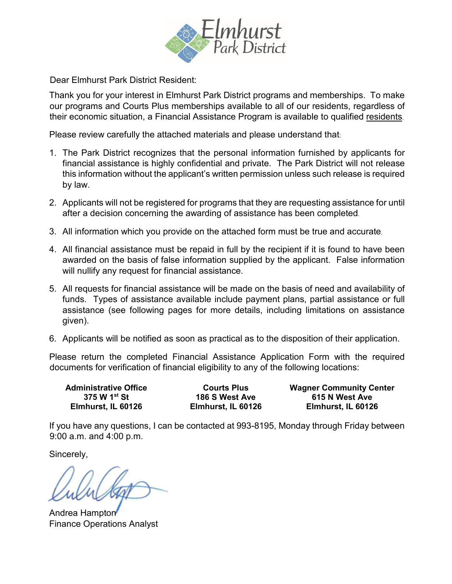

Dear Elmhurst Park District Resident:

Thank you for your interest in Elmhurst Park District programs and memberships. To make our programs and Courts Plus memberships available to all of our residents, regardless of their economic situation, a Financial Assistance Program is available to qualified residents.

Please review carefully the attached materials and please understand that:

- 1. The Park District recognizes that the personal information furnished by applicants for financial assistance is highly confidential and private. The Park District will not release this information without the applicant's written permission unless such release is required by law.
- 2. Applicants will not be registered for programs that they are requesting assistance for until after a decision concerning the awarding of assistance has been completed.
- 3. All information which you provide on the attached form must be true and accurate.
- 4. All financial assistance must be repaid in full by the recipient if it is found to have been awarded on the basis of false information supplied by the applicant. False information will nullify any request for financial assistance.
- 5. All requests for financial assistance will be made on the basis of need and availability of funds. Types of assistance available include payment plans, partial assistance or full assistance (see following pages for more details, including limitations on assistance given).
- 6. Applicants will be notified as soon as practical as to the disposition of their application.

Please return the completed Financial Assistance Application Form with the required documents for verification of financial eligibility to any of the following locations:

**Elmhurst, IL 60126 Elmhurst, IL 60126 Elmhurst, IL 60126**

**Administrative Office Courts Plus Wagner Community Center 375 W 1st St 186 S West Ave 615 N West Ave**

If you have any questions, I can be contacted at 993-8195, Monday through Friday between 9:00 a.m. and 4:00 p.m.

Sincerely,

Andrea Hampton Finance Operations Analyst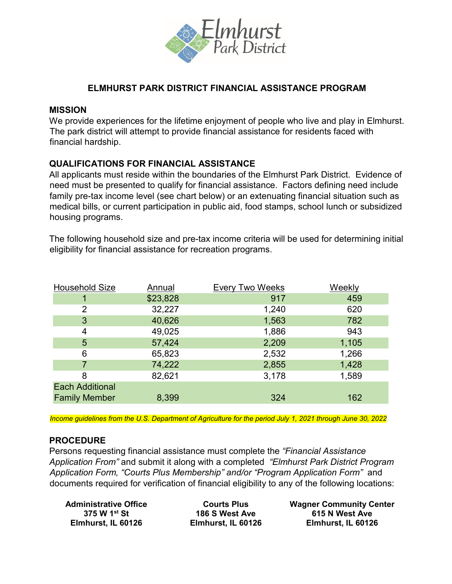

# **ELMHURST PARK DISTRICT FINANCIAL ASSISTANCE PROGRAM**

#### **MISSION**

We provide experiences for the lifetime enjoyment of people who live and play in Elmhurst. The park district will attempt to provide financial assistance for residents faced with financial hardship.

# **QUALIFICATIONS FOR FINANCIAL ASSISTANCE**

All applicants must reside within the boundaries of the Elmhurst Park District. Evidence of need must be presented to qualify for financial assistance. Factors defining need include family pre-tax income level (see chart below) or an extenuating financial situation such as medical bills, or current participation in public aid, food stamps, school lunch or subsidized housing programs.

The following household size and pre-tax income criteria will be used for determining initial eligibility for financial assistance for recreation programs.

| <b>Household Size</b>  | <b>Annual</b> | <b>Every Two Weeks</b> | Weekly |
|------------------------|---------------|------------------------|--------|
|                        | \$23,828      | 917                    | 459    |
| 2                      | 32,227        | 1,240                  | 620    |
| 3                      | 40,626        | 1,563                  | 782    |
| 4                      | 49,025        | 1,886                  | 943    |
| 5                      | 57,424        | 2,209                  | 1,105  |
| 6                      | 65,823        | 2,532                  | 1,266  |
|                        | 74,222        | 2,855                  | 1,428  |
| 8                      | 82,621        | 3,178                  | 1,589  |
| <b>Each Additional</b> |               |                        |        |
| <b>Family Member</b>   | 8,399         | 324                    | 162    |

*Income guidelines from the U.S. Department of Agriculture for the period July 1, 2021 through June 30, 2022* 

## **PROCEDURE**

Persons requesting financial assistance must complete the *"Financial Assistance Application From"* and submit it along with a completed *"Elmhurst Park District Program Application Form, "Courts Plus Membership" and/or "Program Application Form"* and documents required for verification of financial eligibility to any of the following locations:

 **Elmhurst, IL 60126 Elmhurst, IL 60126 Elmhurst, IL 60126**

 **Administrative Office Courts Plus Wagner Community Center**<br>375 W 1<sup>st</sup> St 186 S West Ave 615 N West Ave  **375 W 1st St 186 S West Ave 615 N West Ave**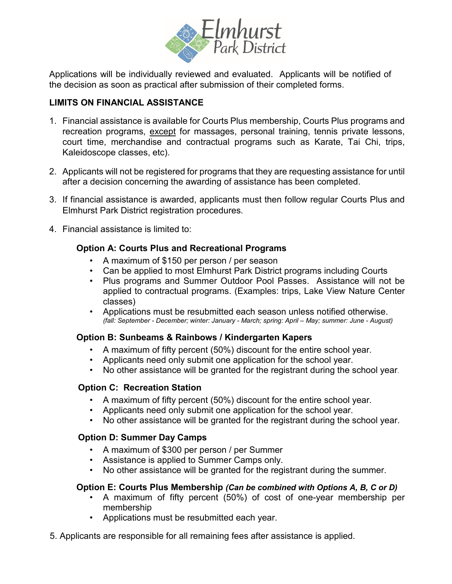

Applications will be individually reviewed and evaluated. Applicants will be notified of the decision as soon as practical after submission of their completed forms.

# **LIMITS ON FINANCIAL ASSISTANCE**

- 1. Financial assistance is available for Courts Plus membership, Courts Plus programs and recreation programs, except for massages, personal training, tennis private lessons, court time, merchandise and contractual programs such as Karate, Tai Chi, trips, Kaleidoscope classes, etc).
- 2. Applicants will not be registered for programs that they are requesting assistance for until after a decision concerning the awarding of assistance has been completed.
- 3. If financial assistance is awarded, applicants must then follow regular Courts Plus and Elmhurst Park District registration procedures.
- 4. Financial assistance is limited to:

# **Option A: Courts Plus and Recreational Programs**

- A maximum of \$150 per person / per season
- Can be applied to most Elmhurst Park District programs including Courts
- Plus programs and Summer Outdoor Pool Passes. Assistance will not be applied to contractual programs. (Examples: trips, Lake View Nature Center classes)
- Applications must be resubmitted each season unless notified otherwise. *(fall: September - December; winter: January - March; spring: April – May; summer: June - August)*

# **Option B: Sunbeams & Rainbows / Kindergarten Kapers**

- A maximum of fifty percent (50%) discount for the entire school year.
- Applicants need only submit one application for the school year.
- No other assistance will be granted for the registrant during the school year.

# **Option C: Recreation Station**

- A maximum of fifty percent (50%) discount for the entire school year.
- Applicants need only submit one application for the school year.
- No other assistance will be granted for the registrant during the school year.

# **Option D: Summer Day Camps**

- A maximum of \$300 per person / per Summer
- Assistance is applied to Summer Camps only.
- No other assistance will be granted for the registrant during the summer.

## **Option E: Courts Plus Membership** *(Can be combined with Options A, B, C or D)*

- A maximum of fifty percent (50%) of cost of one-year membership per membership
- Applications must be resubmitted each year.
- 5. Applicants are responsible for all remaining fees after assistance is applied.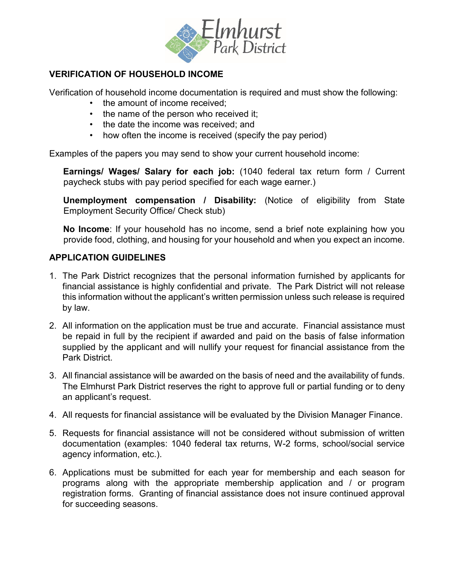

# **VERIFICATION OF HOUSEHOLD INCOME**

Verification of household income documentation is required and must show the following:

- the amount of income received;
- the name of the person who received it;
- the date the income was received; and
- how often the income is received (specify the pay period)

Examples of the papers you may send to show your current household income:

**Earnings/ Wages/ Salary for each job:** (1040 federal tax return form / Current paycheck stubs with pay period specified for each wage earner.)

**Unemployment compensation / Disability:** (Notice of eligibility from State Employment Security Office/ Check stub)

**No Income**: If your household has no income, send a brief note explaining how you provide food, clothing, and housing for your household and when you expect an income.

## **APPLICATION GUIDELINES**

- 1. The Park District recognizes that the personal information furnished by applicants for financial assistance is highly confidential and private. The Park District will not release this information without the applicant's written permission unless such release is required by law.
- 2. All information on the application must be true and accurate. Financial assistance must be repaid in full by the recipient if awarded and paid on the basis of false information supplied by the applicant and will nullify your request for financial assistance from the Park District.
- 3. All financial assistance will be awarded on the basis of need and the availability of funds. The Elmhurst Park District reserves the right to approve full or partial funding or to deny an applicant's request.
- 4. All requests for financial assistance will be evaluated by the Division Manager Finance.
- 5. Requests for financial assistance will not be considered without submission of written documentation (examples: 1040 federal tax returns, W-2 forms, school/social service agency information, etc.).
- 6. Applications must be submitted for each year for membership and each season for programs along with the appropriate membership application and / or program registration forms. Granting of financial assistance does not insure continued approval for succeeding seasons.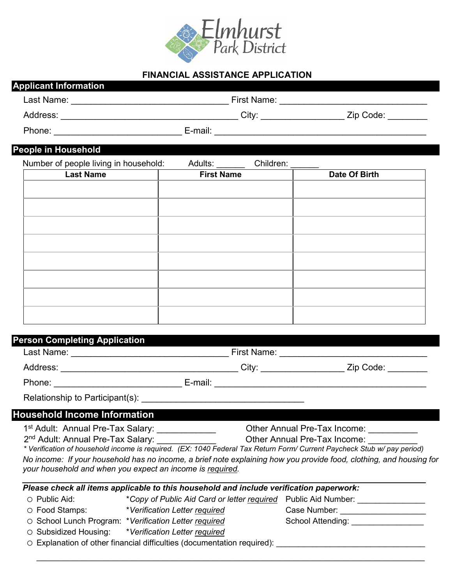

## **FINANCIAL ASSISTANCE APPLICATION**

| First Name: |           |
|-------------|-----------|
| City:       | Zip Code: |
| E-mail:     |           |
|             |           |

#### **People in Household**

| Number of people living in household: | Adults: | Children: |
|---------------------------------------|---------|-----------|
|                                       |         |           |

| Last Name | <b>First Name</b> | Date Of Birth |
|-----------|-------------------|---------------|
|           |                   |               |
|           |                   |               |
|           |                   |               |
|           |                   |               |
|           |                   |               |
|           |                   |               |
|           |                   |               |
|           |                   |               |
|           |                   |               |

## **Person Completing Application**

| Last Name:                          | First Name:               |  |
|-------------------------------------|---------------------------|--|
| Address:                            | City:<br>Zip Code: ______ |  |
| Phone:                              | E-mail:                   |  |
|                                     |                           |  |
| <b>Household Income Information</b> |                           |  |

1<sup>st</sup> Adult: Annual Pre-Tax Salary: \_\_\_\_\_\_\_\_\_\_\_\_\_\_\_\_\_\_ Other Annual Pre-Tax Income: \_\_\_

2<sup>nd</sup> Adult: Annual Pre-Tax Salary: \_\_\_\_\_\_\_\_\_\_\_\_\_\_\_\_\_\_\_\_\_\_\_\_Other Annual Pre-Tax Income: \_

*\* Verification of household income is required. (EX: 1040 Federal Tax Return Form/ Current Paycheck Stub w/ pay period) No income: If your household has no income, a brief note explaining how you provide food, clothing, and housing for your household and when you expect an income is required.*

| Please check all items applicable to this household and include verification paperwork: |                                                                              |                   |  |  |
|-----------------------------------------------------------------------------------------|------------------------------------------------------------------------------|-------------------|--|--|
| ◯ Public Aid:                                                                           | *Copy of Public Aid Card or letter required Public Aid Number:               |                   |  |  |
| ○ Food Stamps:                                                                          | *Verification Letter required                                                | Case Number:      |  |  |
|                                                                                         | ○ School Lunch Program: *Verification Letter required                        | School Attending: |  |  |
|                                                                                         | ○ Subsidized Housing: *Verification Letter required                          |                   |  |  |
|                                                                                         | $\cap$ Explanation of other financial difficulties (documentation required): |                   |  |  |

 $\_$  , and the set of the set of the set of the set of the set of the set of the set of the set of the set of the set of the set of the set of the set of the set of the set of the set of the set of the set of the set of th

 $\alpha$ pianation of other financial difficulties (documentation required):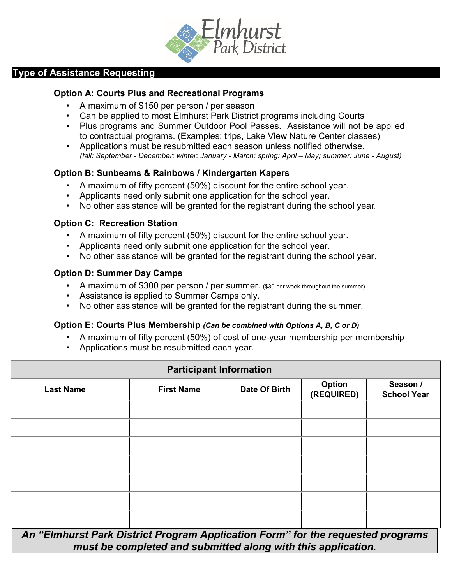

# **Type of Assistance Requesting**

#### **Option A: Courts Plus and Recreational Programs**

- A maximum of \$150 per person / per season
- Can be applied to most Elmhurst Park District programs including Courts
- Plus programs and Summer Outdoor Pool Passes. Assistance will not be applied to contractual programs. (Examples: trips, Lake View Nature Center classes)
- Applications must be resubmitted each season unless notified otherwise. *(fall: September - December; winter: January - March; spring: April – May; summer: June - August)*

## **Option B: Sunbeams & Rainbows / Kindergarten Kapers**

- A maximum of fifty percent (50%) discount for the entire school year.
- Applicants need only submit one application for the school year.
- No other assistance will be granted for the registrant during the school year.

#### **Option C: Recreation Station**

- A maximum of fifty percent (50%) discount for the entire school year.
- Applicants need only submit one application for the school year.
- No other assistance will be granted for the registrant during the school year.

#### **Option D: Summer Day Camps**

- A maximum of \$300 per person / per summer. (\$30 per week throughout the summer)
- Assistance is applied to Summer Camps only.
- No other assistance will be granted for the registrant during the summer.

#### **Option E: Courts Plus Membership** *(Can be combined with Options A, B, C or D)*

- A maximum of fifty percent (50%) of cost of one-year membership per membership
- Applications must be resubmitted each year.

| <b>Participant Information</b>                                                  |                   |               |                             |                                |  |
|---------------------------------------------------------------------------------|-------------------|---------------|-----------------------------|--------------------------------|--|
| <b>Last Name</b>                                                                | <b>First Name</b> | Date Of Birth | <b>Option</b><br>(REQUIRED) | Season /<br><b>School Year</b> |  |
|                                                                                 |                   |               |                             |                                |  |
|                                                                                 |                   |               |                             |                                |  |
|                                                                                 |                   |               |                             |                                |  |
|                                                                                 |                   |               |                             |                                |  |
|                                                                                 |                   |               |                             |                                |  |
|                                                                                 |                   |               |                             |                                |  |
|                                                                                 |                   |               |                             |                                |  |
| An "Elmhurst Park District Program Application Form" for the requested programs |                   |               |                             |                                |  |

*must be completed and submitted along with this application.*